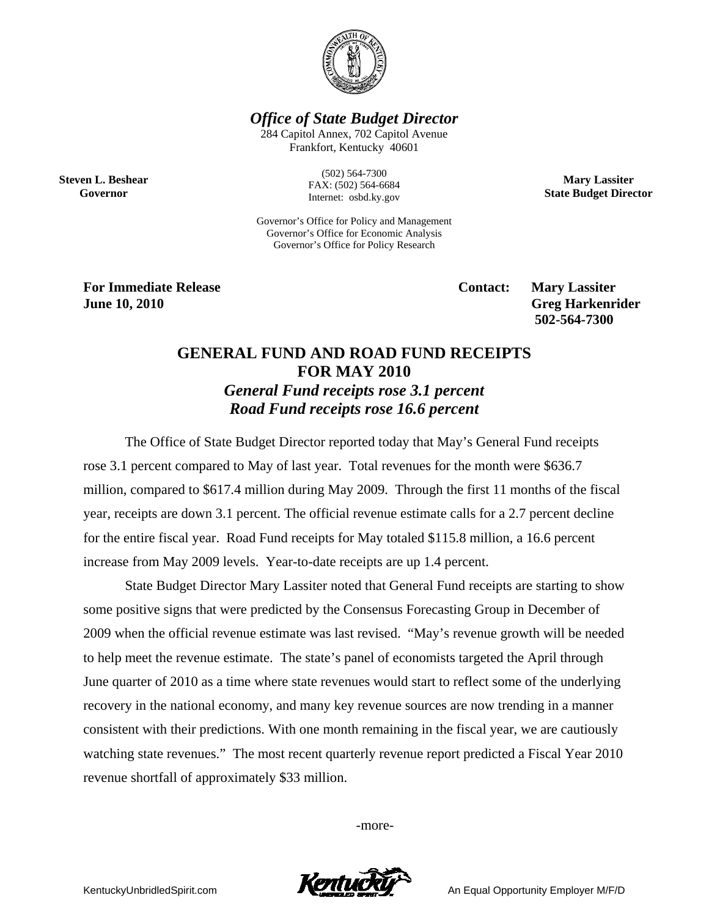

*Office of State Budget Director* 

284 Capitol Annex, 702 Capitol Avenue Frankfort, Kentucky 40601

**Steven L. Beshear Governor** 

(502) 564-7300 FAX: (502) 564-6684 Internet: osbd.ky.gov

Governor's Office for Policy and Management Governor's Office for Economic Analysis Governor's Office for Policy Research

**For Immediate Release Service Service Service Contact: Mary Lassiter June 10, 2010 Greg Harkenrider Greg Harkenrider Greg Harkenrider 502-564-7300** 

**Mary Lassiter State Budget Director** 

## **GENERAL FUND AND ROAD FUND RECEIPTS FOR MAY 2010**  *General Fund receipts rose 3.1 percent Road Fund receipts rose 16.6 percent*

The Office of State Budget Director reported today that May's General Fund receipts rose 3.1 percent compared to May of last year. Total revenues for the month were \$636.7 million, compared to \$617.4 million during May 2009. Through the first 11 months of the fiscal year, receipts are down 3.1 percent. The official revenue estimate calls for a 2.7 percent decline for the entire fiscal year. Road Fund receipts for May totaled \$115.8 million, a 16.6 percent increase from May 2009 levels. Year-to-date receipts are up 1.4 percent.

State Budget Director Mary Lassiter noted that General Fund receipts are starting to show some positive signs that were predicted by the Consensus Forecasting Group in December of 2009 when the official revenue estimate was last revised. "May's revenue growth will be needed to help meet the revenue estimate. The state's panel of economists targeted the April through June quarter of 2010 as a time where state revenues would start to reflect some of the underlying recovery in the national economy, and many key revenue sources are now trending in a manner consistent with their predictions. With one month remaining in the fiscal year, we are cautiously watching state revenues." The most recent quarterly revenue report predicted a Fiscal Year 2010 revenue shortfall of approximately \$33 million.

-more-



KentuckyUnbridledSpirit.com **An Equal Opportunity Employer M/F/D**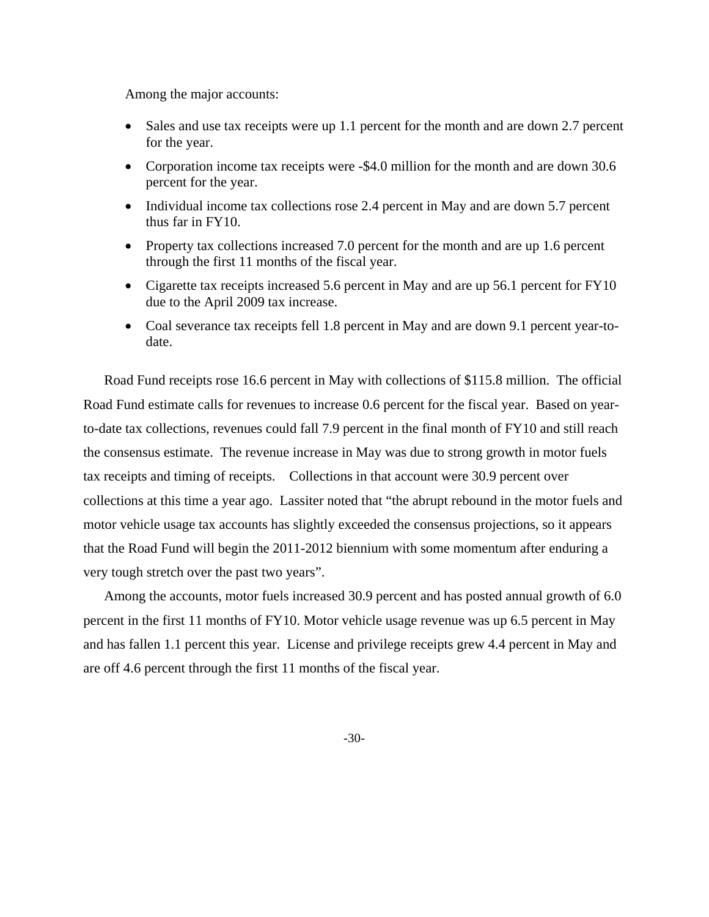Among the major accounts:

- Sales and use tax receipts were up 1.1 percent for the month and are down 2.7 percent for the year.
- Corporation income tax receipts were -\$4.0 million for the month and are down 30.6 percent for the year.
- Individual income tax collections rose 2.4 percent in May and are down 5.7 percent thus far in FY10.
- Property tax collections increased 7.0 percent for the month and are up 1.6 percent through the first 11 months of the fiscal year.
- Cigarette tax receipts increased 5.6 percent in May and are up 56.1 percent for FY10 due to the April 2009 tax increase.
- Coal severance tax receipts fell 1.8 percent in May and are down 9.1 percent year-todate.

Road Fund receipts rose 16.6 percent in May with collections of \$115.8 million. The official Road Fund estimate calls for revenues to increase 0.6 percent for the fiscal year. Based on yearto-date tax collections, revenues could fall 7.9 percent in the final month of FY10 and still reach the consensus estimate. The revenue increase in May was due to strong growth in motor fuels tax receipts and timing of receipts. Collections in that account were 30.9 percent over collections at this time a year ago. Lassiter noted that "the abrupt rebound in the motor fuels and motor vehicle usage tax accounts has slightly exceeded the consensus projections, so it appears that the Road Fund will begin the 2011-2012 biennium with some momentum after enduring a very tough stretch over the past two years".

Among the accounts, motor fuels increased 30.9 percent and has posted annual growth of 6.0 percent in the first 11 months of FY10. Motor vehicle usage revenue was up 6.5 percent in May and has fallen 1.1 percent this year. License and privilege receipts grew 4.4 percent in May and are off 4.6 percent through the first 11 months of the fiscal year.

-30-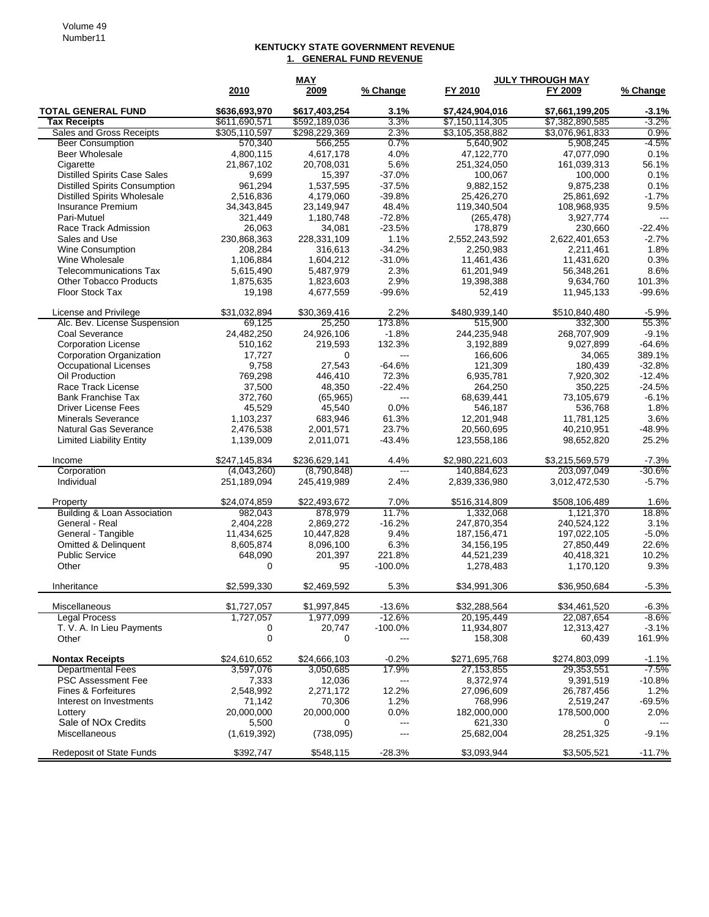## **KENTUCKY STATE GOVERNMENT REVENUE 1. GENERAL FUND REVENUE**

| <b>TOTAL GENERAL FUND</b><br>\$636,693,970<br>\$617,403,254<br>3.1%<br>\$7,424,904,016<br>\$7,661,199,205<br>$-3.1%$<br><b>Tax Receipts</b><br>\$611,690,571<br>\$592,189,036<br>3.3%<br>\$7,150,114,305<br>\$7,382,890,585<br>$-3.2%$<br>Sales and Gross Receipts<br>\$305,110,597<br>\$298,229,369<br>2.3%<br>\$3,105,358,882<br>\$3,076,961,833<br>0.9%<br>-4.5%<br><b>Beer Consumption</b><br>570,340<br>0.7%<br>5,640,902<br>5,908,245<br>566,255<br>0.1%<br><b>Beer Wholesale</b><br>4,800,115<br>4,617,178<br>4.0%<br>47,122,770<br>47,077,090<br>Cigarette<br>21,867,102<br>5.6%<br>251,324,050<br>161,039,313<br>56.1%<br>20,708,031<br><b>Distilled Spirits Case Sales</b><br>9,699<br>15,397<br>$-37.0%$<br>100,067<br>100,000<br>0.1%<br><b>Distilled Spirits Consumption</b><br>961,294<br>1,537,595<br>$-37.5%$<br>9,882,152<br>9,875,238<br>0.1%<br><b>Distilled Spirits Wholesale</b><br>$-1.7%$<br>2,516,836<br>4,179,060<br>$-39.8%$<br>25,426,270<br>25,861,692<br>48.4%<br>9.5%<br>Insurance Premium<br>34,343,845<br>23,149,947<br>119,340,504<br>108,968,935<br>$-72.8%$<br>Pari-Mutuel<br>321,449<br>1,180,748<br>3,927,774<br>(265, 478)<br>$---$<br>Race Track Admission<br>26,063<br>34,081<br>$-23.5%$<br>178,879<br>230,660<br>$-22.4%$<br>Sales and Use<br>230,868,363<br>228,331,109<br>1.1%<br>2,552,243,592<br>2,622,401,653<br>$-2.7%$<br><b>Wine Consumption</b><br>208,284<br>316,613<br>$-34.2%$<br>2,211,461<br>1.8%<br>2,250,983<br>Wine Wholesale<br>0.3%<br>1,106,884<br>1,604,212<br>$-31.0%$<br>11,461,436<br>11,431,620<br>8.6%<br><b>Telecommunications Tax</b><br>5,615,490<br>5,487,979<br>2.3%<br>61,201,949<br>56,348,261<br>2.9%<br><b>Other Tobacco Products</b><br>1,875,635<br>19,398,388<br>9,634,760<br>101.3%<br>1,823,603<br>Floor Stock Tax<br>$-99.6%$<br>$-99.6%$<br>19,198<br>4,677,559<br>52,419<br>11,945,133<br>2.2%<br>\$31,032,894<br>\$30,369,416<br>\$480,939,140<br>\$510,840,480<br>$-5.9%$<br>License and Privilege<br>25,250<br>173.8%<br>515,900<br>55.3%<br>Alc. Bev. License Suspension<br>69,125<br>332,300<br>Coal Severance<br>$-1.8%$<br>$-9.1%$<br>24,482,250<br>24,926,106<br>244,235,948<br>268,707,909<br>$-64.6%$<br><b>Corporation License</b><br>510,162<br>132.3%<br>3,192,889<br>9,027,899<br>219,593<br>Corporation Organization<br>389.1%<br>17,727<br>0<br>---<br>166,606<br>34,065<br>Occupational Licenses<br>9,758<br>27,543<br>$-64.6%$<br>121,309<br>180,439<br>$-32.8%$<br>Oil Production<br>769,298<br>72.3%<br>6,935,781<br>7,920,302<br>$-12.4%$<br>446,410<br>Race Track License<br>37,500<br>48,350<br>$-22.4%$<br>264,250<br>350,225<br>$-24.5%$<br><b>Bank Franchise Tax</b><br>372,760<br>68,639,441<br>73,105,679<br>$-6.1%$<br>(65, 965)<br>---<br>1.8%<br><b>Driver License Fees</b><br>45,529<br>45,540<br>0.0%<br>546,187<br>536,768<br>3.6%<br><b>Minerals Severance</b><br>1,103,237<br>683,946<br>61.3%<br>12,201,948<br>11,781,125<br>23.7%<br>Natural Gas Severance<br>2,476,538<br>2,001,571<br>20,560,695<br>40,210,951<br>$-48.9%$<br><b>Limited Liability Entity</b><br>1,139,009<br>2,011,071<br>$-43.4%$<br>123,558,186<br>98,652,820<br>25.2%<br>\$247,145,834<br>\$236,629,141<br>\$2,980,221,603<br>\$3,215,569,579<br>$-7.3%$<br>4.4%<br>Income<br>$-30.6%$<br>Corporation<br>(4,043,260)<br>(8,790,848)<br>140,884,623<br>203,097,049<br>$---$<br>Individual<br>251,189,094<br>245,419,989<br>2.4%<br>2,839,336,980<br>3,012,472,530<br>$-5.7%$<br>\$24,074,859<br>\$22,493,672<br>7.0%<br>\$508,106,489<br>1.6%<br>\$516,314,809<br>Property<br><b>Building &amp; Loan Association</b><br>11.7%<br>18.8%<br>982,043<br>878,979<br>1,332,068<br>1,121,370<br>General - Real<br>$-16.2%$<br>2.404.228<br>2.869.272<br>247,870,354<br>240,524,122<br>3.1%<br>General - Tangible<br>$-5.0%$<br>11,434,625<br>9.4%<br>187, 156, 471<br>197,022,105<br>10,447,828<br>Omitted & Delinquent<br>8,605,874<br>8,096,100<br>6.3%<br>34,156,195<br>27,850,449<br>22.6%<br><b>Public Service</b><br>648,090<br>201,397<br>221.8%<br>44,521,239<br>10.2%<br>40,418,321<br>9.3%<br>Other<br>$\mathbf 0$<br>95<br>$-100.0%$<br>1,278,483<br>1,170,120<br>\$2,599,330<br>5.3%<br>\$34,991,306<br>\$36,950,684<br>$-5.3%$<br>Inheritance<br>\$2,469,592<br>\$1,727,057<br>\$1,997,845<br>$-13.6%$<br>\$32,288,564<br>\$34,461,520<br>Miscellaneous<br>$-6.3%$<br>-8.6%<br><b>Legal Process</b><br>1,727,057<br>$-12.6%$<br>22,087,654<br>1,977,099<br>20,195,449<br>T. V. A. In Lieu Payments<br>20,747<br>$-100.0%$<br>11,934,807<br>12,313,427<br>$-3.1%$<br>0<br>$\mathbf 0$<br>161.9%<br>Other<br>0<br>158,308<br>60,439<br>---<br><b>Nontax Receipts</b><br>\$24,610,652<br>\$24,666,103<br>$-0.2%$<br>\$271,695,768<br>\$274,803,099<br>$-1.1%$<br>$-7.5%$<br>17.9%<br><b>Departmental Fees</b><br>3,597,076<br>3,050,685<br>27, 153, 855<br>29,353,551<br><b>PSC Assessment Fee</b><br>$-10.8%$<br>7,333<br>12,036<br>8,372,974<br>9,391,519<br>---<br>2,548,992<br>12.2%<br><b>Fines &amp; Forfeitures</b><br>2,271,172<br>27,096,609<br>26,787,456<br>1.2%<br>1.2%<br>$-69.5%$<br>Interest on Investments<br>71,142<br>70,306<br>768,996<br>2,519,247<br>20,000,000<br>20,000,000<br>0.0%<br>2.0%<br>Lottery<br>182,000,000<br>178,500,000<br>Sale of NO <sub>x</sub> Credits<br>5,500<br>0<br>621,330<br>---<br>0<br>$--$<br><b>Miscellaneous</b><br>28,251,325<br>$-9.1%$<br>(1,619,392)<br>(738,095)<br>25,682,004<br>---<br>$-28.3%$<br><b>Redeposit of State Funds</b><br>\$392,747<br>\$548,115<br>\$3,093,944<br>\$3,505,521<br>$-11.7%$ |      | <b>MAY</b> |          | <b>JULY THROUGH MAY</b> |         |          |
|----------------------------------------------------------------------------------------------------------------------------------------------------------------------------------------------------------------------------------------------------------------------------------------------------------------------------------------------------------------------------------------------------------------------------------------------------------------------------------------------------------------------------------------------------------------------------------------------------------------------------------------------------------------------------------------------------------------------------------------------------------------------------------------------------------------------------------------------------------------------------------------------------------------------------------------------------------------------------------------------------------------------------------------------------------------------------------------------------------------------------------------------------------------------------------------------------------------------------------------------------------------------------------------------------------------------------------------------------------------------------------------------------------------------------------------------------------------------------------------------------------------------------------------------------------------------------------------------------------------------------------------------------------------------------------------------------------------------------------------------------------------------------------------------------------------------------------------------------------------------------------------------------------------------------------------------------------------------------------------------------------------------------------------------------------------------------------------------------------------------------------------------------------------------------------------------------------------------------------------------------------------------------------------------------------------------------------------------------------------------------------------------------------------------------------------------------------------------------------------------------------------------------------------------------------------------------------------------------------------------------------------------------------------------------------------------------------------------------------------------------------------------------------------------------------------------------------------------------------------------------------------------------------------------------------------------------------------------------------------------------------------------------------------------------------------------------------------------------------------------------------------------------------------------------------------------------------------------------------------------------------------------------------------------------------------------------------------------------------------------------------------------------------------------------------------------------------------------------------------------------------------------------------------------------------------------------------------------------------------------------------------------------------------------------------------------------------------------------------------------------------------------------------------------------------------------------------------------------------------------------------------------------------------------------------------------------------------------------------------------------------------------------------------------------------------------------------------------------------------------------------------------------------------------------------------------------------------------------------------------------------------------------------------------------------------------------------------------------------------------------------------------------------------------------------------------------------------------------------------------------------------------------------------------------------------------------------------------------------------------------------------------------------------------------------------------------------------------------------------------------------------------------------------------------------------------------------------------------------------------------------------------------------------------------------------------------------------------------------------------------------------------------------------------------------------------------------------------------------------------------------------------------------------------------------------------------------------------------------------------------------------------------------------------------------------------------------------------------------------------------------------------------------------------------------------------------------------------------------------------------------------------------------------------------------------------|------|------------|----------|-------------------------|---------|----------|
|                                                                                                                                                                                                                                                                                                                                                                                                                                                                                                                                                                                                                                                                                                                                                                                                                                                                                                                                                                                                                                                                                                                                                                                                                                                                                                                                                                                                                                                                                                                                                                                                                                                                                                                                                                                                                                                                                                                                                                                                                                                                                                                                                                                                                                                                                                                                                                                                                                                                                                                                                                                                                                                                                                                                                                                                                                                                                                                                                                                                                                                                                                                                                                                                                                                                                                                                                                                                                                                                                                                                                                                                                                                                                                                                                                                                                                                                                                                                                                                                                                                                                                                                                                                                                                                                                                                                                                                                                                                                                                                                                                                                                                                                                                                                                                                                                                                                                                                                                                                                                                                                                                                                                                                                                                                                                                                                                                                                                                                                                                                                                                      | 2010 | 2009       | % Change | FY 2010                 | FY 2009 | % Change |
|                                                                                                                                                                                                                                                                                                                                                                                                                                                                                                                                                                                                                                                                                                                                                                                                                                                                                                                                                                                                                                                                                                                                                                                                                                                                                                                                                                                                                                                                                                                                                                                                                                                                                                                                                                                                                                                                                                                                                                                                                                                                                                                                                                                                                                                                                                                                                                                                                                                                                                                                                                                                                                                                                                                                                                                                                                                                                                                                                                                                                                                                                                                                                                                                                                                                                                                                                                                                                                                                                                                                                                                                                                                                                                                                                                                                                                                                                                                                                                                                                                                                                                                                                                                                                                                                                                                                                                                                                                                                                                                                                                                                                                                                                                                                                                                                                                                                                                                                                                                                                                                                                                                                                                                                                                                                                                                                                                                                                                                                                                                                                                      |      |            |          |                         |         |          |
|                                                                                                                                                                                                                                                                                                                                                                                                                                                                                                                                                                                                                                                                                                                                                                                                                                                                                                                                                                                                                                                                                                                                                                                                                                                                                                                                                                                                                                                                                                                                                                                                                                                                                                                                                                                                                                                                                                                                                                                                                                                                                                                                                                                                                                                                                                                                                                                                                                                                                                                                                                                                                                                                                                                                                                                                                                                                                                                                                                                                                                                                                                                                                                                                                                                                                                                                                                                                                                                                                                                                                                                                                                                                                                                                                                                                                                                                                                                                                                                                                                                                                                                                                                                                                                                                                                                                                                                                                                                                                                                                                                                                                                                                                                                                                                                                                                                                                                                                                                                                                                                                                                                                                                                                                                                                                                                                                                                                                                                                                                                                                                      |      |            |          |                         |         |          |
|                                                                                                                                                                                                                                                                                                                                                                                                                                                                                                                                                                                                                                                                                                                                                                                                                                                                                                                                                                                                                                                                                                                                                                                                                                                                                                                                                                                                                                                                                                                                                                                                                                                                                                                                                                                                                                                                                                                                                                                                                                                                                                                                                                                                                                                                                                                                                                                                                                                                                                                                                                                                                                                                                                                                                                                                                                                                                                                                                                                                                                                                                                                                                                                                                                                                                                                                                                                                                                                                                                                                                                                                                                                                                                                                                                                                                                                                                                                                                                                                                                                                                                                                                                                                                                                                                                                                                                                                                                                                                                                                                                                                                                                                                                                                                                                                                                                                                                                                                                                                                                                                                                                                                                                                                                                                                                                                                                                                                                                                                                                                                                      |      |            |          |                         |         |          |
|                                                                                                                                                                                                                                                                                                                                                                                                                                                                                                                                                                                                                                                                                                                                                                                                                                                                                                                                                                                                                                                                                                                                                                                                                                                                                                                                                                                                                                                                                                                                                                                                                                                                                                                                                                                                                                                                                                                                                                                                                                                                                                                                                                                                                                                                                                                                                                                                                                                                                                                                                                                                                                                                                                                                                                                                                                                                                                                                                                                                                                                                                                                                                                                                                                                                                                                                                                                                                                                                                                                                                                                                                                                                                                                                                                                                                                                                                                                                                                                                                                                                                                                                                                                                                                                                                                                                                                                                                                                                                                                                                                                                                                                                                                                                                                                                                                                                                                                                                                                                                                                                                                                                                                                                                                                                                                                                                                                                                                                                                                                                                                      |      |            |          |                         |         |          |
|                                                                                                                                                                                                                                                                                                                                                                                                                                                                                                                                                                                                                                                                                                                                                                                                                                                                                                                                                                                                                                                                                                                                                                                                                                                                                                                                                                                                                                                                                                                                                                                                                                                                                                                                                                                                                                                                                                                                                                                                                                                                                                                                                                                                                                                                                                                                                                                                                                                                                                                                                                                                                                                                                                                                                                                                                                                                                                                                                                                                                                                                                                                                                                                                                                                                                                                                                                                                                                                                                                                                                                                                                                                                                                                                                                                                                                                                                                                                                                                                                                                                                                                                                                                                                                                                                                                                                                                                                                                                                                                                                                                                                                                                                                                                                                                                                                                                                                                                                                                                                                                                                                                                                                                                                                                                                                                                                                                                                                                                                                                                                                      |      |            |          |                         |         |          |
|                                                                                                                                                                                                                                                                                                                                                                                                                                                                                                                                                                                                                                                                                                                                                                                                                                                                                                                                                                                                                                                                                                                                                                                                                                                                                                                                                                                                                                                                                                                                                                                                                                                                                                                                                                                                                                                                                                                                                                                                                                                                                                                                                                                                                                                                                                                                                                                                                                                                                                                                                                                                                                                                                                                                                                                                                                                                                                                                                                                                                                                                                                                                                                                                                                                                                                                                                                                                                                                                                                                                                                                                                                                                                                                                                                                                                                                                                                                                                                                                                                                                                                                                                                                                                                                                                                                                                                                                                                                                                                                                                                                                                                                                                                                                                                                                                                                                                                                                                                                                                                                                                                                                                                                                                                                                                                                                                                                                                                                                                                                                                                      |      |            |          |                         |         |          |
|                                                                                                                                                                                                                                                                                                                                                                                                                                                                                                                                                                                                                                                                                                                                                                                                                                                                                                                                                                                                                                                                                                                                                                                                                                                                                                                                                                                                                                                                                                                                                                                                                                                                                                                                                                                                                                                                                                                                                                                                                                                                                                                                                                                                                                                                                                                                                                                                                                                                                                                                                                                                                                                                                                                                                                                                                                                                                                                                                                                                                                                                                                                                                                                                                                                                                                                                                                                                                                                                                                                                                                                                                                                                                                                                                                                                                                                                                                                                                                                                                                                                                                                                                                                                                                                                                                                                                                                                                                                                                                                                                                                                                                                                                                                                                                                                                                                                                                                                                                                                                                                                                                                                                                                                                                                                                                                                                                                                                                                                                                                                                                      |      |            |          |                         |         |          |
|                                                                                                                                                                                                                                                                                                                                                                                                                                                                                                                                                                                                                                                                                                                                                                                                                                                                                                                                                                                                                                                                                                                                                                                                                                                                                                                                                                                                                                                                                                                                                                                                                                                                                                                                                                                                                                                                                                                                                                                                                                                                                                                                                                                                                                                                                                                                                                                                                                                                                                                                                                                                                                                                                                                                                                                                                                                                                                                                                                                                                                                                                                                                                                                                                                                                                                                                                                                                                                                                                                                                                                                                                                                                                                                                                                                                                                                                                                                                                                                                                                                                                                                                                                                                                                                                                                                                                                                                                                                                                                                                                                                                                                                                                                                                                                                                                                                                                                                                                                                                                                                                                                                                                                                                                                                                                                                                                                                                                                                                                                                                                                      |      |            |          |                         |         |          |
|                                                                                                                                                                                                                                                                                                                                                                                                                                                                                                                                                                                                                                                                                                                                                                                                                                                                                                                                                                                                                                                                                                                                                                                                                                                                                                                                                                                                                                                                                                                                                                                                                                                                                                                                                                                                                                                                                                                                                                                                                                                                                                                                                                                                                                                                                                                                                                                                                                                                                                                                                                                                                                                                                                                                                                                                                                                                                                                                                                                                                                                                                                                                                                                                                                                                                                                                                                                                                                                                                                                                                                                                                                                                                                                                                                                                                                                                                                                                                                                                                                                                                                                                                                                                                                                                                                                                                                                                                                                                                                                                                                                                                                                                                                                                                                                                                                                                                                                                                                                                                                                                                                                                                                                                                                                                                                                                                                                                                                                                                                                                                                      |      |            |          |                         |         |          |
|                                                                                                                                                                                                                                                                                                                                                                                                                                                                                                                                                                                                                                                                                                                                                                                                                                                                                                                                                                                                                                                                                                                                                                                                                                                                                                                                                                                                                                                                                                                                                                                                                                                                                                                                                                                                                                                                                                                                                                                                                                                                                                                                                                                                                                                                                                                                                                                                                                                                                                                                                                                                                                                                                                                                                                                                                                                                                                                                                                                                                                                                                                                                                                                                                                                                                                                                                                                                                                                                                                                                                                                                                                                                                                                                                                                                                                                                                                                                                                                                                                                                                                                                                                                                                                                                                                                                                                                                                                                                                                                                                                                                                                                                                                                                                                                                                                                                                                                                                                                                                                                                                                                                                                                                                                                                                                                                                                                                                                                                                                                                                                      |      |            |          |                         |         |          |
|                                                                                                                                                                                                                                                                                                                                                                                                                                                                                                                                                                                                                                                                                                                                                                                                                                                                                                                                                                                                                                                                                                                                                                                                                                                                                                                                                                                                                                                                                                                                                                                                                                                                                                                                                                                                                                                                                                                                                                                                                                                                                                                                                                                                                                                                                                                                                                                                                                                                                                                                                                                                                                                                                                                                                                                                                                                                                                                                                                                                                                                                                                                                                                                                                                                                                                                                                                                                                                                                                                                                                                                                                                                                                                                                                                                                                                                                                                                                                                                                                                                                                                                                                                                                                                                                                                                                                                                                                                                                                                                                                                                                                                                                                                                                                                                                                                                                                                                                                                                                                                                                                                                                                                                                                                                                                                                                                                                                                                                                                                                                                                      |      |            |          |                         |         |          |
|                                                                                                                                                                                                                                                                                                                                                                                                                                                                                                                                                                                                                                                                                                                                                                                                                                                                                                                                                                                                                                                                                                                                                                                                                                                                                                                                                                                                                                                                                                                                                                                                                                                                                                                                                                                                                                                                                                                                                                                                                                                                                                                                                                                                                                                                                                                                                                                                                                                                                                                                                                                                                                                                                                                                                                                                                                                                                                                                                                                                                                                                                                                                                                                                                                                                                                                                                                                                                                                                                                                                                                                                                                                                                                                                                                                                                                                                                                                                                                                                                                                                                                                                                                                                                                                                                                                                                                                                                                                                                                                                                                                                                                                                                                                                                                                                                                                                                                                                                                                                                                                                                                                                                                                                                                                                                                                                                                                                                                                                                                                                                                      |      |            |          |                         |         |          |
|                                                                                                                                                                                                                                                                                                                                                                                                                                                                                                                                                                                                                                                                                                                                                                                                                                                                                                                                                                                                                                                                                                                                                                                                                                                                                                                                                                                                                                                                                                                                                                                                                                                                                                                                                                                                                                                                                                                                                                                                                                                                                                                                                                                                                                                                                                                                                                                                                                                                                                                                                                                                                                                                                                                                                                                                                                                                                                                                                                                                                                                                                                                                                                                                                                                                                                                                                                                                                                                                                                                                                                                                                                                                                                                                                                                                                                                                                                                                                                                                                                                                                                                                                                                                                                                                                                                                                                                                                                                                                                                                                                                                                                                                                                                                                                                                                                                                                                                                                                                                                                                                                                                                                                                                                                                                                                                                                                                                                                                                                                                                                                      |      |            |          |                         |         |          |
|                                                                                                                                                                                                                                                                                                                                                                                                                                                                                                                                                                                                                                                                                                                                                                                                                                                                                                                                                                                                                                                                                                                                                                                                                                                                                                                                                                                                                                                                                                                                                                                                                                                                                                                                                                                                                                                                                                                                                                                                                                                                                                                                                                                                                                                                                                                                                                                                                                                                                                                                                                                                                                                                                                                                                                                                                                                                                                                                                                                                                                                                                                                                                                                                                                                                                                                                                                                                                                                                                                                                                                                                                                                                                                                                                                                                                                                                                                                                                                                                                                                                                                                                                                                                                                                                                                                                                                                                                                                                                                                                                                                                                                                                                                                                                                                                                                                                                                                                                                                                                                                                                                                                                                                                                                                                                                                                                                                                                                                                                                                                                                      |      |            |          |                         |         |          |
|                                                                                                                                                                                                                                                                                                                                                                                                                                                                                                                                                                                                                                                                                                                                                                                                                                                                                                                                                                                                                                                                                                                                                                                                                                                                                                                                                                                                                                                                                                                                                                                                                                                                                                                                                                                                                                                                                                                                                                                                                                                                                                                                                                                                                                                                                                                                                                                                                                                                                                                                                                                                                                                                                                                                                                                                                                                                                                                                                                                                                                                                                                                                                                                                                                                                                                                                                                                                                                                                                                                                                                                                                                                                                                                                                                                                                                                                                                                                                                                                                                                                                                                                                                                                                                                                                                                                                                                                                                                                                                                                                                                                                                                                                                                                                                                                                                                                                                                                                                                                                                                                                                                                                                                                                                                                                                                                                                                                                                                                                                                                                                      |      |            |          |                         |         |          |
|                                                                                                                                                                                                                                                                                                                                                                                                                                                                                                                                                                                                                                                                                                                                                                                                                                                                                                                                                                                                                                                                                                                                                                                                                                                                                                                                                                                                                                                                                                                                                                                                                                                                                                                                                                                                                                                                                                                                                                                                                                                                                                                                                                                                                                                                                                                                                                                                                                                                                                                                                                                                                                                                                                                                                                                                                                                                                                                                                                                                                                                                                                                                                                                                                                                                                                                                                                                                                                                                                                                                                                                                                                                                                                                                                                                                                                                                                                                                                                                                                                                                                                                                                                                                                                                                                                                                                                                                                                                                                                                                                                                                                                                                                                                                                                                                                                                                                                                                                                                                                                                                                                                                                                                                                                                                                                                                                                                                                                                                                                                                                                      |      |            |          |                         |         |          |
|                                                                                                                                                                                                                                                                                                                                                                                                                                                                                                                                                                                                                                                                                                                                                                                                                                                                                                                                                                                                                                                                                                                                                                                                                                                                                                                                                                                                                                                                                                                                                                                                                                                                                                                                                                                                                                                                                                                                                                                                                                                                                                                                                                                                                                                                                                                                                                                                                                                                                                                                                                                                                                                                                                                                                                                                                                                                                                                                                                                                                                                                                                                                                                                                                                                                                                                                                                                                                                                                                                                                                                                                                                                                                                                                                                                                                                                                                                                                                                                                                                                                                                                                                                                                                                                                                                                                                                                                                                                                                                                                                                                                                                                                                                                                                                                                                                                                                                                                                                                                                                                                                                                                                                                                                                                                                                                                                                                                                                                                                                                                                                      |      |            |          |                         |         |          |
|                                                                                                                                                                                                                                                                                                                                                                                                                                                                                                                                                                                                                                                                                                                                                                                                                                                                                                                                                                                                                                                                                                                                                                                                                                                                                                                                                                                                                                                                                                                                                                                                                                                                                                                                                                                                                                                                                                                                                                                                                                                                                                                                                                                                                                                                                                                                                                                                                                                                                                                                                                                                                                                                                                                                                                                                                                                                                                                                                                                                                                                                                                                                                                                                                                                                                                                                                                                                                                                                                                                                                                                                                                                                                                                                                                                                                                                                                                                                                                                                                                                                                                                                                                                                                                                                                                                                                                                                                                                                                                                                                                                                                                                                                                                                                                                                                                                                                                                                                                                                                                                                                                                                                                                                                                                                                                                                                                                                                                                                                                                                                                      |      |            |          |                         |         |          |
|                                                                                                                                                                                                                                                                                                                                                                                                                                                                                                                                                                                                                                                                                                                                                                                                                                                                                                                                                                                                                                                                                                                                                                                                                                                                                                                                                                                                                                                                                                                                                                                                                                                                                                                                                                                                                                                                                                                                                                                                                                                                                                                                                                                                                                                                                                                                                                                                                                                                                                                                                                                                                                                                                                                                                                                                                                                                                                                                                                                                                                                                                                                                                                                                                                                                                                                                                                                                                                                                                                                                                                                                                                                                                                                                                                                                                                                                                                                                                                                                                                                                                                                                                                                                                                                                                                                                                                                                                                                                                                                                                                                                                                                                                                                                                                                                                                                                                                                                                                                                                                                                                                                                                                                                                                                                                                                                                                                                                                                                                                                                                                      |      |            |          |                         |         |          |
|                                                                                                                                                                                                                                                                                                                                                                                                                                                                                                                                                                                                                                                                                                                                                                                                                                                                                                                                                                                                                                                                                                                                                                                                                                                                                                                                                                                                                                                                                                                                                                                                                                                                                                                                                                                                                                                                                                                                                                                                                                                                                                                                                                                                                                                                                                                                                                                                                                                                                                                                                                                                                                                                                                                                                                                                                                                                                                                                                                                                                                                                                                                                                                                                                                                                                                                                                                                                                                                                                                                                                                                                                                                                                                                                                                                                                                                                                                                                                                                                                                                                                                                                                                                                                                                                                                                                                                                                                                                                                                                                                                                                                                                                                                                                                                                                                                                                                                                                                                                                                                                                                                                                                                                                                                                                                                                                                                                                                                                                                                                                                                      |      |            |          |                         |         |          |
|                                                                                                                                                                                                                                                                                                                                                                                                                                                                                                                                                                                                                                                                                                                                                                                                                                                                                                                                                                                                                                                                                                                                                                                                                                                                                                                                                                                                                                                                                                                                                                                                                                                                                                                                                                                                                                                                                                                                                                                                                                                                                                                                                                                                                                                                                                                                                                                                                                                                                                                                                                                                                                                                                                                                                                                                                                                                                                                                                                                                                                                                                                                                                                                                                                                                                                                                                                                                                                                                                                                                                                                                                                                                                                                                                                                                                                                                                                                                                                                                                                                                                                                                                                                                                                                                                                                                                                                                                                                                                                                                                                                                                                                                                                                                                                                                                                                                                                                                                                                                                                                                                                                                                                                                                                                                                                                                                                                                                                                                                                                                                                      |      |            |          |                         |         |          |
|                                                                                                                                                                                                                                                                                                                                                                                                                                                                                                                                                                                                                                                                                                                                                                                                                                                                                                                                                                                                                                                                                                                                                                                                                                                                                                                                                                                                                                                                                                                                                                                                                                                                                                                                                                                                                                                                                                                                                                                                                                                                                                                                                                                                                                                                                                                                                                                                                                                                                                                                                                                                                                                                                                                                                                                                                                                                                                                                                                                                                                                                                                                                                                                                                                                                                                                                                                                                                                                                                                                                                                                                                                                                                                                                                                                                                                                                                                                                                                                                                                                                                                                                                                                                                                                                                                                                                                                                                                                                                                                                                                                                                                                                                                                                                                                                                                                                                                                                                                                                                                                                                                                                                                                                                                                                                                                                                                                                                                                                                                                                                                      |      |            |          |                         |         |          |
|                                                                                                                                                                                                                                                                                                                                                                                                                                                                                                                                                                                                                                                                                                                                                                                                                                                                                                                                                                                                                                                                                                                                                                                                                                                                                                                                                                                                                                                                                                                                                                                                                                                                                                                                                                                                                                                                                                                                                                                                                                                                                                                                                                                                                                                                                                                                                                                                                                                                                                                                                                                                                                                                                                                                                                                                                                                                                                                                                                                                                                                                                                                                                                                                                                                                                                                                                                                                                                                                                                                                                                                                                                                                                                                                                                                                                                                                                                                                                                                                                                                                                                                                                                                                                                                                                                                                                                                                                                                                                                                                                                                                                                                                                                                                                                                                                                                                                                                                                                                                                                                                                                                                                                                                                                                                                                                                                                                                                                                                                                                                                                      |      |            |          |                         |         |          |
|                                                                                                                                                                                                                                                                                                                                                                                                                                                                                                                                                                                                                                                                                                                                                                                                                                                                                                                                                                                                                                                                                                                                                                                                                                                                                                                                                                                                                                                                                                                                                                                                                                                                                                                                                                                                                                                                                                                                                                                                                                                                                                                                                                                                                                                                                                                                                                                                                                                                                                                                                                                                                                                                                                                                                                                                                                                                                                                                                                                                                                                                                                                                                                                                                                                                                                                                                                                                                                                                                                                                                                                                                                                                                                                                                                                                                                                                                                                                                                                                                                                                                                                                                                                                                                                                                                                                                                                                                                                                                                                                                                                                                                                                                                                                                                                                                                                                                                                                                                                                                                                                                                                                                                                                                                                                                                                                                                                                                                                                                                                                                                      |      |            |          |                         |         |          |
|                                                                                                                                                                                                                                                                                                                                                                                                                                                                                                                                                                                                                                                                                                                                                                                                                                                                                                                                                                                                                                                                                                                                                                                                                                                                                                                                                                                                                                                                                                                                                                                                                                                                                                                                                                                                                                                                                                                                                                                                                                                                                                                                                                                                                                                                                                                                                                                                                                                                                                                                                                                                                                                                                                                                                                                                                                                                                                                                                                                                                                                                                                                                                                                                                                                                                                                                                                                                                                                                                                                                                                                                                                                                                                                                                                                                                                                                                                                                                                                                                                                                                                                                                                                                                                                                                                                                                                                                                                                                                                                                                                                                                                                                                                                                                                                                                                                                                                                                                                                                                                                                                                                                                                                                                                                                                                                                                                                                                                                                                                                                                                      |      |            |          |                         |         |          |
|                                                                                                                                                                                                                                                                                                                                                                                                                                                                                                                                                                                                                                                                                                                                                                                                                                                                                                                                                                                                                                                                                                                                                                                                                                                                                                                                                                                                                                                                                                                                                                                                                                                                                                                                                                                                                                                                                                                                                                                                                                                                                                                                                                                                                                                                                                                                                                                                                                                                                                                                                                                                                                                                                                                                                                                                                                                                                                                                                                                                                                                                                                                                                                                                                                                                                                                                                                                                                                                                                                                                                                                                                                                                                                                                                                                                                                                                                                                                                                                                                                                                                                                                                                                                                                                                                                                                                                                                                                                                                                                                                                                                                                                                                                                                                                                                                                                                                                                                                                                                                                                                                                                                                                                                                                                                                                                                                                                                                                                                                                                                                                      |      |            |          |                         |         |          |
|                                                                                                                                                                                                                                                                                                                                                                                                                                                                                                                                                                                                                                                                                                                                                                                                                                                                                                                                                                                                                                                                                                                                                                                                                                                                                                                                                                                                                                                                                                                                                                                                                                                                                                                                                                                                                                                                                                                                                                                                                                                                                                                                                                                                                                                                                                                                                                                                                                                                                                                                                                                                                                                                                                                                                                                                                                                                                                                                                                                                                                                                                                                                                                                                                                                                                                                                                                                                                                                                                                                                                                                                                                                                                                                                                                                                                                                                                                                                                                                                                                                                                                                                                                                                                                                                                                                                                                                                                                                                                                                                                                                                                                                                                                                                                                                                                                                                                                                                                                                                                                                                                                                                                                                                                                                                                                                                                                                                                                                                                                                                                                      |      |            |          |                         |         |          |
|                                                                                                                                                                                                                                                                                                                                                                                                                                                                                                                                                                                                                                                                                                                                                                                                                                                                                                                                                                                                                                                                                                                                                                                                                                                                                                                                                                                                                                                                                                                                                                                                                                                                                                                                                                                                                                                                                                                                                                                                                                                                                                                                                                                                                                                                                                                                                                                                                                                                                                                                                                                                                                                                                                                                                                                                                                                                                                                                                                                                                                                                                                                                                                                                                                                                                                                                                                                                                                                                                                                                                                                                                                                                                                                                                                                                                                                                                                                                                                                                                                                                                                                                                                                                                                                                                                                                                                                                                                                                                                                                                                                                                                                                                                                                                                                                                                                                                                                                                                                                                                                                                                                                                                                                                                                                                                                                                                                                                                                                                                                                                                      |      |            |          |                         |         |          |
|                                                                                                                                                                                                                                                                                                                                                                                                                                                                                                                                                                                                                                                                                                                                                                                                                                                                                                                                                                                                                                                                                                                                                                                                                                                                                                                                                                                                                                                                                                                                                                                                                                                                                                                                                                                                                                                                                                                                                                                                                                                                                                                                                                                                                                                                                                                                                                                                                                                                                                                                                                                                                                                                                                                                                                                                                                                                                                                                                                                                                                                                                                                                                                                                                                                                                                                                                                                                                                                                                                                                                                                                                                                                                                                                                                                                                                                                                                                                                                                                                                                                                                                                                                                                                                                                                                                                                                                                                                                                                                                                                                                                                                                                                                                                                                                                                                                                                                                                                                                                                                                                                                                                                                                                                                                                                                                                                                                                                                                                                                                                                                      |      |            |          |                         |         |          |
|                                                                                                                                                                                                                                                                                                                                                                                                                                                                                                                                                                                                                                                                                                                                                                                                                                                                                                                                                                                                                                                                                                                                                                                                                                                                                                                                                                                                                                                                                                                                                                                                                                                                                                                                                                                                                                                                                                                                                                                                                                                                                                                                                                                                                                                                                                                                                                                                                                                                                                                                                                                                                                                                                                                                                                                                                                                                                                                                                                                                                                                                                                                                                                                                                                                                                                                                                                                                                                                                                                                                                                                                                                                                                                                                                                                                                                                                                                                                                                                                                                                                                                                                                                                                                                                                                                                                                                                                                                                                                                                                                                                                                                                                                                                                                                                                                                                                                                                                                                                                                                                                                                                                                                                                                                                                                                                                                                                                                                                                                                                                                                      |      |            |          |                         |         |          |
|                                                                                                                                                                                                                                                                                                                                                                                                                                                                                                                                                                                                                                                                                                                                                                                                                                                                                                                                                                                                                                                                                                                                                                                                                                                                                                                                                                                                                                                                                                                                                                                                                                                                                                                                                                                                                                                                                                                                                                                                                                                                                                                                                                                                                                                                                                                                                                                                                                                                                                                                                                                                                                                                                                                                                                                                                                                                                                                                                                                                                                                                                                                                                                                                                                                                                                                                                                                                                                                                                                                                                                                                                                                                                                                                                                                                                                                                                                                                                                                                                                                                                                                                                                                                                                                                                                                                                                                                                                                                                                                                                                                                                                                                                                                                                                                                                                                                                                                                                                                                                                                                                                                                                                                                                                                                                                                                                                                                                                                                                                                                                                      |      |            |          |                         |         |          |
|                                                                                                                                                                                                                                                                                                                                                                                                                                                                                                                                                                                                                                                                                                                                                                                                                                                                                                                                                                                                                                                                                                                                                                                                                                                                                                                                                                                                                                                                                                                                                                                                                                                                                                                                                                                                                                                                                                                                                                                                                                                                                                                                                                                                                                                                                                                                                                                                                                                                                                                                                                                                                                                                                                                                                                                                                                                                                                                                                                                                                                                                                                                                                                                                                                                                                                                                                                                                                                                                                                                                                                                                                                                                                                                                                                                                                                                                                                                                                                                                                                                                                                                                                                                                                                                                                                                                                                                                                                                                                                                                                                                                                                                                                                                                                                                                                                                                                                                                                                                                                                                                                                                                                                                                                                                                                                                                                                                                                                                                                                                                                                      |      |            |          |                         |         |          |
|                                                                                                                                                                                                                                                                                                                                                                                                                                                                                                                                                                                                                                                                                                                                                                                                                                                                                                                                                                                                                                                                                                                                                                                                                                                                                                                                                                                                                                                                                                                                                                                                                                                                                                                                                                                                                                                                                                                                                                                                                                                                                                                                                                                                                                                                                                                                                                                                                                                                                                                                                                                                                                                                                                                                                                                                                                                                                                                                                                                                                                                                                                                                                                                                                                                                                                                                                                                                                                                                                                                                                                                                                                                                                                                                                                                                                                                                                                                                                                                                                                                                                                                                                                                                                                                                                                                                                                                                                                                                                                                                                                                                                                                                                                                                                                                                                                                                                                                                                                                                                                                                                                                                                                                                                                                                                                                                                                                                                                                                                                                                                                      |      |            |          |                         |         |          |
|                                                                                                                                                                                                                                                                                                                                                                                                                                                                                                                                                                                                                                                                                                                                                                                                                                                                                                                                                                                                                                                                                                                                                                                                                                                                                                                                                                                                                                                                                                                                                                                                                                                                                                                                                                                                                                                                                                                                                                                                                                                                                                                                                                                                                                                                                                                                                                                                                                                                                                                                                                                                                                                                                                                                                                                                                                                                                                                                                                                                                                                                                                                                                                                                                                                                                                                                                                                                                                                                                                                                                                                                                                                                                                                                                                                                                                                                                                                                                                                                                                                                                                                                                                                                                                                                                                                                                                                                                                                                                                                                                                                                                                                                                                                                                                                                                                                                                                                                                                                                                                                                                                                                                                                                                                                                                                                                                                                                                                                                                                                                                                      |      |            |          |                         |         |          |
|                                                                                                                                                                                                                                                                                                                                                                                                                                                                                                                                                                                                                                                                                                                                                                                                                                                                                                                                                                                                                                                                                                                                                                                                                                                                                                                                                                                                                                                                                                                                                                                                                                                                                                                                                                                                                                                                                                                                                                                                                                                                                                                                                                                                                                                                                                                                                                                                                                                                                                                                                                                                                                                                                                                                                                                                                                                                                                                                                                                                                                                                                                                                                                                                                                                                                                                                                                                                                                                                                                                                                                                                                                                                                                                                                                                                                                                                                                                                                                                                                                                                                                                                                                                                                                                                                                                                                                                                                                                                                                                                                                                                                                                                                                                                                                                                                                                                                                                                                                                                                                                                                                                                                                                                                                                                                                                                                                                                                                                                                                                                                                      |      |            |          |                         |         |          |
|                                                                                                                                                                                                                                                                                                                                                                                                                                                                                                                                                                                                                                                                                                                                                                                                                                                                                                                                                                                                                                                                                                                                                                                                                                                                                                                                                                                                                                                                                                                                                                                                                                                                                                                                                                                                                                                                                                                                                                                                                                                                                                                                                                                                                                                                                                                                                                                                                                                                                                                                                                                                                                                                                                                                                                                                                                                                                                                                                                                                                                                                                                                                                                                                                                                                                                                                                                                                                                                                                                                                                                                                                                                                                                                                                                                                                                                                                                                                                                                                                                                                                                                                                                                                                                                                                                                                                                                                                                                                                                                                                                                                                                                                                                                                                                                                                                                                                                                                                                                                                                                                                                                                                                                                                                                                                                                                                                                                                                                                                                                                                                      |      |            |          |                         |         |          |
|                                                                                                                                                                                                                                                                                                                                                                                                                                                                                                                                                                                                                                                                                                                                                                                                                                                                                                                                                                                                                                                                                                                                                                                                                                                                                                                                                                                                                                                                                                                                                                                                                                                                                                                                                                                                                                                                                                                                                                                                                                                                                                                                                                                                                                                                                                                                                                                                                                                                                                                                                                                                                                                                                                                                                                                                                                                                                                                                                                                                                                                                                                                                                                                                                                                                                                                                                                                                                                                                                                                                                                                                                                                                                                                                                                                                                                                                                                                                                                                                                                                                                                                                                                                                                                                                                                                                                                                                                                                                                                                                                                                                                                                                                                                                                                                                                                                                                                                                                                                                                                                                                                                                                                                                                                                                                                                                                                                                                                                                                                                                                                      |      |            |          |                         |         |          |
|                                                                                                                                                                                                                                                                                                                                                                                                                                                                                                                                                                                                                                                                                                                                                                                                                                                                                                                                                                                                                                                                                                                                                                                                                                                                                                                                                                                                                                                                                                                                                                                                                                                                                                                                                                                                                                                                                                                                                                                                                                                                                                                                                                                                                                                                                                                                                                                                                                                                                                                                                                                                                                                                                                                                                                                                                                                                                                                                                                                                                                                                                                                                                                                                                                                                                                                                                                                                                                                                                                                                                                                                                                                                                                                                                                                                                                                                                                                                                                                                                                                                                                                                                                                                                                                                                                                                                                                                                                                                                                                                                                                                                                                                                                                                                                                                                                                                                                                                                                                                                                                                                                                                                                                                                                                                                                                                                                                                                                                                                                                                                                      |      |            |          |                         |         |          |
|                                                                                                                                                                                                                                                                                                                                                                                                                                                                                                                                                                                                                                                                                                                                                                                                                                                                                                                                                                                                                                                                                                                                                                                                                                                                                                                                                                                                                                                                                                                                                                                                                                                                                                                                                                                                                                                                                                                                                                                                                                                                                                                                                                                                                                                                                                                                                                                                                                                                                                                                                                                                                                                                                                                                                                                                                                                                                                                                                                                                                                                                                                                                                                                                                                                                                                                                                                                                                                                                                                                                                                                                                                                                                                                                                                                                                                                                                                                                                                                                                                                                                                                                                                                                                                                                                                                                                                                                                                                                                                                                                                                                                                                                                                                                                                                                                                                                                                                                                                                                                                                                                                                                                                                                                                                                                                                                                                                                                                                                                                                                                                      |      |            |          |                         |         |          |
|                                                                                                                                                                                                                                                                                                                                                                                                                                                                                                                                                                                                                                                                                                                                                                                                                                                                                                                                                                                                                                                                                                                                                                                                                                                                                                                                                                                                                                                                                                                                                                                                                                                                                                                                                                                                                                                                                                                                                                                                                                                                                                                                                                                                                                                                                                                                                                                                                                                                                                                                                                                                                                                                                                                                                                                                                                                                                                                                                                                                                                                                                                                                                                                                                                                                                                                                                                                                                                                                                                                                                                                                                                                                                                                                                                                                                                                                                                                                                                                                                                                                                                                                                                                                                                                                                                                                                                                                                                                                                                                                                                                                                                                                                                                                                                                                                                                                                                                                                                                                                                                                                                                                                                                                                                                                                                                                                                                                                                                                                                                                                                      |      |            |          |                         |         |          |
|                                                                                                                                                                                                                                                                                                                                                                                                                                                                                                                                                                                                                                                                                                                                                                                                                                                                                                                                                                                                                                                                                                                                                                                                                                                                                                                                                                                                                                                                                                                                                                                                                                                                                                                                                                                                                                                                                                                                                                                                                                                                                                                                                                                                                                                                                                                                                                                                                                                                                                                                                                                                                                                                                                                                                                                                                                                                                                                                                                                                                                                                                                                                                                                                                                                                                                                                                                                                                                                                                                                                                                                                                                                                                                                                                                                                                                                                                                                                                                                                                                                                                                                                                                                                                                                                                                                                                                                                                                                                                                                                                                                                                                                                                                                                                                                                                                                                                                                                                                                                                                                                                                                                                                                                                                                                                                                                                                                                                                                                                                                                                                      |      |            |          |                         |         |          |
|                                                                                                                                                                                                                                                                                                                                                                                                                                                                                                                                                                                                                                                                                                                                                                                                                                                                                                                                                                                                                                                                                                                                                                                                                                                                                                                                                                                                                                                                                                                                                                                                                                                                                                                                                                                                                                                                                                                                                                                                                                                                                                                                                                                                                                                                                                                                                                                                                                                                                                                                                                                                                                                                                                                                                                                                                                                                                                                                                                                                                                                                                                                                                                                                                                                                                                                                                                                                                                                                                                                                                                                                                                                                                                                                                                                                                                                                                                                                                                                                                                                                                                                                                                                                                                                                                                                                                                                                                                                                                                                                                                                                                                                                                                                                                                                                                                                                                                                                                                                                                                                                                                                                                                                                                                                                                                                                                                                                                                                                                                                                                                      |      |            |          |                         |         |          |
|                                                                                                                                                                                                                                                                                                                                                                                                                                                                                                                                                                                                                                                                                                                                                                                                                                                                                                                                                                                                                                                                                                                                                                                                                                                                                                                                                                                                                                                                                                                                                                                                                                                                                                                                                                                                                                                                                                                                                                                                                                                                                                                                                                                                                                                                                                                                                                                                                                                                                                                                                                                                                                                                                                                                                                                                                                                                                                                                                                                                                                                                                                                                                                                                                                                                                                                                                                                                                                                                                                                                                                                                                                                                                                                                                                                                                                                                                                                                                                                                                                                                                                                                                                                                                                                                                                                                                                                                                                                                                                                                                                                                                                                                                                                                                                                                                                                                                                                                                                                                                                                                                                                                                                                                                                                                                                                                                                                                                                                                                                                                                                      |      |            |          |                         |         |          |
|                                                                                                                                                                                                                                                                                                                                                                                                                                                                                                                                                                                                                                                                                                                                                                                                                                                                                                                                                                                                                                                                                                                                                                                                                                                                                                                                                                                                                                                                                                                                                                                                                                                                                                                                                                                                                                                                                                                                                                                                                                                                                                                                                                                                                                                                                                                                                                                                                                                                                                                                                                                                                                                                                                                                                                                                                                                                                                                                                                                                                                                                                                                                                                                                                                                                                                                                                                                                                                                                                                                                                                                                                                                                                                                                                                                                                                                                                                                                                                                                                                                                                                                                                                                                                                                                                                                                                                                                                                                                                                                                                                                                                                                                                                                                                                                                                                                                                                                                                                                                                                                                                                                                                                                                                                                                                                                                                                                                                                                                                                                                                                      |      |            |          |                         |         |          |
|                                                                                                                                                                                                                                                                                                                                                                                                                                                                                                                                                                                                                                                                                                                                                                                                                                                                                                                                                                                                                                                                                                                                                                                                                                                                                                                                                                                                                                                                                                                                                                                                                                                                                                                                                                                                                                                                                                                                                                                                                                                                                                                                                                                                                                                                                                                                                                                                                                                                                                                                                                                                                                                                                                                                                                                                                                                                                                                                                                                                                                                                                                                                                                                                                                                                                                                                                                                                                                                                                                                                                                                                                                                                                                                                                                                                                                                                                                                                                                                                                                                                                                                                                                                                                                                                                                                                                                                                                                                                                                                                                                                                                                                                                                                                                                                                                                                                                                                                                                                                                                                                                                                                                                                                                                                                                                                                                                                                                                                                                                                                                                      |      |            |          |                         |         |          |
|                                                                                                                                                                                                                                                                                                                                                                                                                                                                                                                                                                                                                                                                                                                                                                                                                                                                                                                                                                                                                                                                                                                                                                                                                                                                                                                                                                                                                                                                                                                                                                                                                                                                                                                                                                                                                                                                                                                                                                                                                                                                                                                                                                                                                                                                                                                                                                                                                                                                                                                                                                                                                                                                                                                                                                                                                                                                                                                                                                                                                                                                                                                                                                                                                                                                                                                                                                                                                                                                                                                                                                                                                                                                                                                                                                                                                                                                                                                                                                                                                                                                                                                                                                                                                                                                                                                                                                                                                                                                                                                                                                                                                                                                                                                                                                                                                                                                                                                                                                                                                                                                                                                                                                                                                                                                                                                                                                                                                                                                                                                                                                      |      |            |          |                         |         |          |
|                                                                                                                                                                                                                                                                                                                                                                                                                                                                                                                                                                                                                                                                                                                                                                                                                                                                                                                                                                                                                                                                                                                                                                                                                                                                                                                                                                                                                                                                                                                                                                                                                                                                                                                                                                                                                                                                                                                                                                                                                                                                                                                                                                                                                                                                                                                                                                                                                                                                                                                                                                                                                                                                                                                                                                                                                                                                                                                                                                                                                                                                                                                                                                                                                                                                                                                                                                                                                                                                                                                                                                                                                                                                                                                                                                                                                                                                                                                                                                                                                                                                                                                                                                                                                                                                                                                                                                                                                                                                                                                                                                                                                                                                                                                                                                                                                                                                                                                                                                                                                                                                                                                                                                                                                                                                                                                                                                                                                                                                                                                                                                      |      |            |          |                         |         |          |
|                                                                                                                                                                                                                                                                                                                                                                                                                                                                                                                                                                                                                                                                                                                                                                                                                                                                                                                                                                                                                                                                                                                                                                                                                                                                                                                                                                                                                                                                                                                                                                                                                                                                                                                                                                                                                                                                                                                                                                                                                                                                                                                                                                                                                                                                                                                                                                                                                                                                                                                                                                                                                                                                                                                                                                                                                                                                                                                                                                                                                                                                                                                                                                                                                                                                                                                                                                                                                                                                                                                                                                                                                                                                                                                                                                                                                                                                                                                                                                                                                                                                                                                                                                                                                                                                                                                                                                                                                                                                                                                                                                                                                                                                                                                                                                                                                                                                                                                                                                                                                                                                                                                                                                                                                                                                                                                                                                                                                                                                                                                                                                      |      |            |          |                         |         |          |
|                                                                                                                                                                                                                                                                                                                                                                                                                                                                                                                                                                                                                                                                                                                                                                                                                                                                                                                                                                                                                                                                                                                                                                                                                                                                                                                                                                                                                                                                                                                                                                                                                                                                                                                                                                                                                                                                                                                                                                                                                                                                                                                                                                                                                                                                                                                                                                                                                                                                                                                                                                                                                                                                                                                                                                                                                                                                                                                                                                                                                                                                                                                                                                                                                                                                                                                                                                                                                                                                                                                                                                                                                                                                                                                                                                                                                                                                                                                                                                                                                                                                                                                                                                                                                                                                                                                                                                                                                                                                                                                                                                                                                                                                                                                                                                                                                                                                                                                                                                                                                                                                                                                                                                                                                                                                                                                                                                                                                                                                                                                                                                      |      |            |          |                         |         |          |
|                                                                                                                                                                                                                                                                                                                                                                                                                                                                                                                                                                                                                                                                                                                                                                                                                                                                                                                                                                                                                                                                                                                                                                                                                                                                                                                                                                                                                                                                                                                                                                                                                                                                                                                                                                                                                                                                                                                                                                                                                                                                                                                                                                                                                                                                                                                                                                                                                                                                                                                                                                                                                                                                                                                                                                                                                                                                                                                                                                                                                                                                                                                                                                                                                                                                                                                                                                                                                                                                                                                                                                                                                                                                                                                                                                                                                                                                                                                                                                                                                                                                                                                                                                                                                                                                                                                                                                                                                                                                                                                                                                                                                                                                                                                                                                                                                                                                                                                                                                                                                                                                                                                                                                                                                                                                                                                                                                                                                                                                                                                                                                      |      |            |          |                         |         |          |
|                                                                                                                                                                                                                                                                                                                                                                                                                                                                                                                                                                                                                                                                                                                                                                                                                                                                                                                                                                                                                                                                                                                                                                                                                                                                                                                                                                                                                                                                                                                                                                                                                                                                                                                                                                                                                                                                                                                                                                                                                                                                                                                                                                                                                                                                                                                                                                                                                                                                                                                                                                                                                                                                                                                                                                                                                                                                                                                                                                                                                                                                                                                                                                                                                                                                                                                                                                                                                                                                                                                                                                                                                                                                                                                                                                                                                                                                                                                                                                                                                                                                                                                                                                                                                                                                                                                                                                                                                                                                                                                                                                                                                                                                                                                                                                                                                                                                                                                                                                                                                                                                                                                                                                                                                                                                                                                                                                                                                                                                                                                                                                      |      |            |          |                         |         |          |
|                                                                                                                                                                                                                                                                                                                                                                                                                                                                                                                                                                                                                                                                                                                                                                                                                                                                                                                                                                                                                                                                                                                                                                                                                                                                                                                                                                                                                                                                                                                                                                                                                                                                                                                                                                                                                                                                                                                                                                                                                                                                                                                                                                                                                                                                                                                                                                                                                                                                                                                                                                                                                                                                                                                                                                                                                                                                                                                                                                                                                                                                                                                                                                                                                                                                                                                                                                                                                                                                                                                                                                                                                                                                                                                                                                                                                                                                                                                                                                                                                                                                                                                                                                                                                                                                                                                                                                                                                                                                                                                                                                                                                                                                                                                                                                                                                                                                                                                                                                                                                                                                                                                                                                                                                                                                                                                                                                                                                                                                                                                                                                      |      |            |          |                         |         |          |
|                                                                                                                                                                                                                                                                                                                                                                                                                                                                                                                                                                                                                                                                                                                                                                                                                                                                                                                                                                                                                                                                                                                                                                                                                                                                                                                                                                                                                                                                                                                                                                                                                                                                                                                                                                                                                                                                                                                                                                                                                                                                                                                                                                                                                                                                                                                                                                                                                                                                                                                                                                                                                                                                                                                                                                                                                                                                                                                                                                                                                                                                                                                                                                                                                                                                                                                                                                                                                                                                                                                                                                                                                                                                                                                                                                                                                                                                                                                                                                                                                                                                                                                                                                                                                                                                                                                                                                                                                                                                                                                                                                                                                                                                                                                                                                                                                                                                                                                                                                                                                                                                                                                                                                                                                                                                                                                                                                                                                                                                                                                                                                      |      |            |          |                         |         |          |
|                                                                                                                                                                                                                                                                                                                                                                                                                                                                                                                                                                                                                                                                                                                                                                                                                                                                                                                                                                                                                                                                                                                                                                                                                                                                                                                                                                                                                                                                                                                                                                                                                                                                                                                                                                                                                                                                                                                                                                                                                                                                                                                                                                                                                                                                                                                                                                                                                                                                                                                                                                                                                                                                                                                                                                                                                                                                                                                                                                                                                                                                                                                                                                                                                                                                                                                                                                                                                                                                                                                                                                                                                                                                                                                                                                                                                                                                                                                                                                                                                                                                                                                                                                                                                                                                                                                                                                                                                                                                                                                                                                                                                                                                                                                                                                                                                                                                                                                                                                                                                                                                                                                                                                                                                                                                                                                                                                                                                                                                                                                                                                      |      |            |          |                         |         |          |